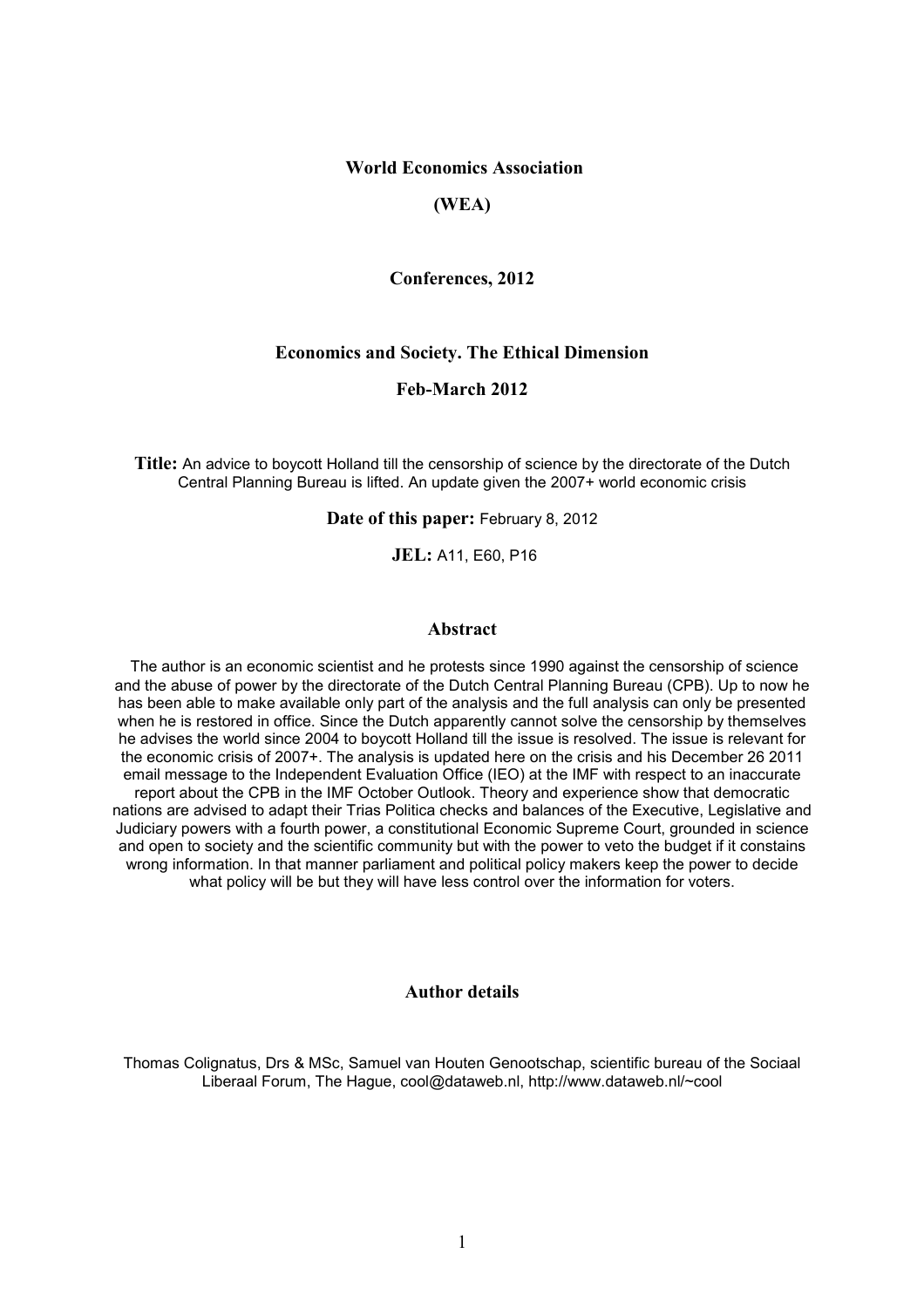# World Economics Association

# (WEA)

### Conferences, 2012

## Economics and Society. The Ethical Dimension

# Feb-March 2012

Title: An advice to boycott Holland till the censorship of science by the directorate of the Dutch Central Planning Bureau is lifted. An update given the 2007+ world economic crisis

Date of this paper: February 8, 2012

JEL: A11, E60, P16

### Abstract

The author is an economic scientist and he protests since 1990 against the censorship of science and the abuse of power by the directorate of the Dutch Central Planning Bureau (CPB). Up to now he has been able to make available only part of the analysis and the full analysis can only be presented when he is restored in office. Since the Dutch apparently cannot solve the censorship by themselves he advises the world since 2004 to boycott Holland till the issue is resolved. The issue is relevant for the economic crisis of 2007+. The analysis is updated here on the crisis and his December 26 2011 email message to the Independent Evaluation Office (IEO) at the IMF with respect to an inaccurate report about the CPB in the IMF October Outlook. Theory and experience show that democratic nations are advised to adapt their Trias Politica checks and balances of the Executive, Legislative and Judiciary powers with a fourth power, a constitutional Economic Supreme Court, grounded in science and open to society and the scientific community but with the power to veto the budget if it constains wrong information. In that manner parliament and political policy makers keep the power to decide what policy will be but they will have less control over the information for voters.

### Author details

Thomas Colignatus, Drs & MSc, Samuel van Houten Genootschap, scientific bureau of the Sociaal Liberaal Forum, The Hague, cool@dataweb.nl, http://www.dataweb.nl/~cool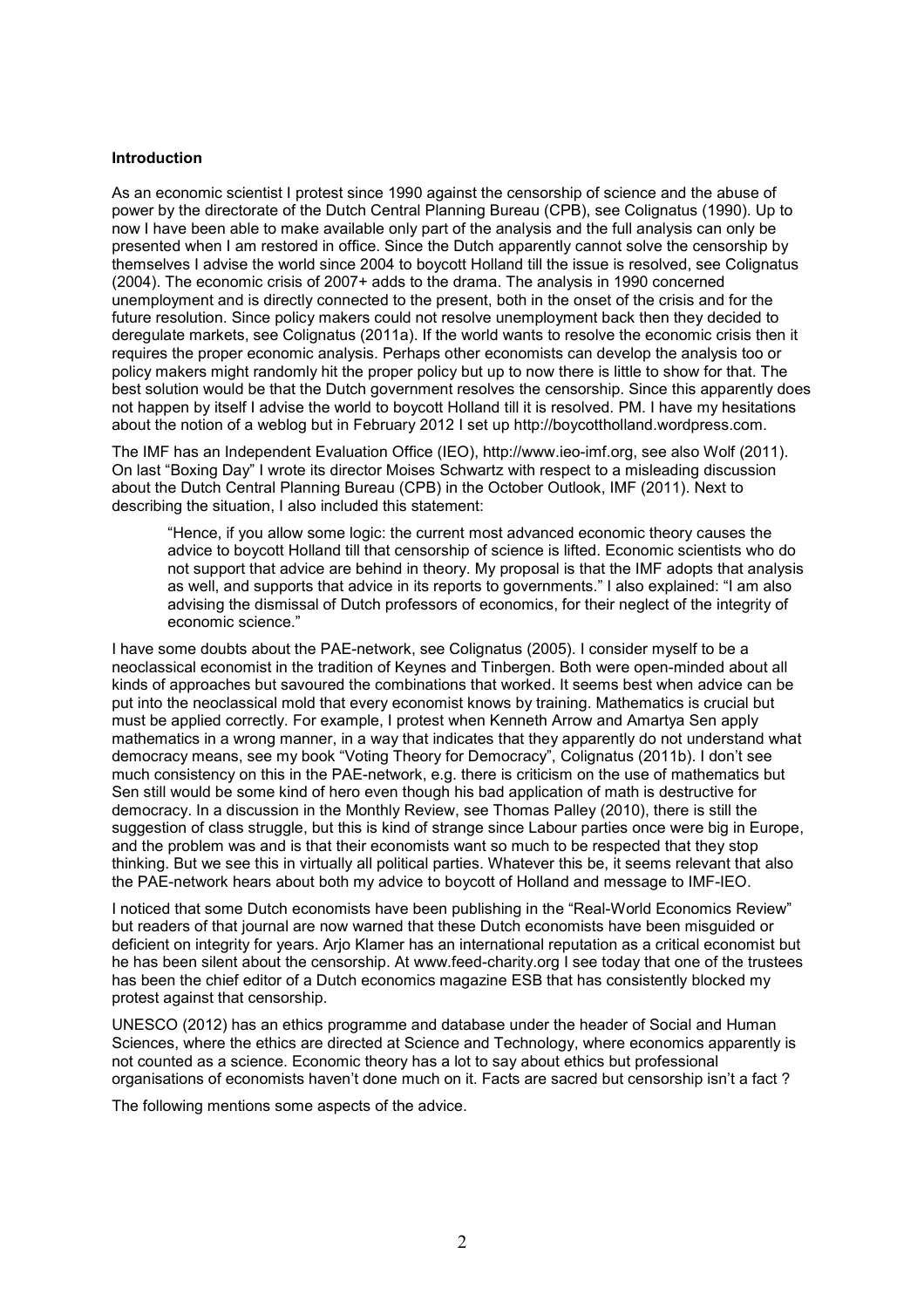### Introduction

As an economic scientist I protest since 1990 against the censorship of science and the abuse of power by the directorate of the Dutch Central Planning Bureau (CPB), see Colignatus (1990). Up to now I have been able to make available only part of the analysis and the full analysis can only be presented when I am restored in office. Since the Dutch apparently cannot solve the censorship by themselves I advise the world since 2004 to boycott Holland till the issue is resolved, see Colignatus (2004). The economic crisis of 2007+ adds to the drama. The analysis in 1990 concerned unemployment and is directly connected to the present, both in the onset of the crisis and for the future resolution. Since policy makers could not resolve unemployment back then they decided to deregulate markets, see Colignatus (2011a). If the world wants to resolve the economic crisis then it requires the proper economic analysis. Perhaps other economists can develop the analysis too or policy makers might randomly hit the proper policy but up to now there is little to show for that. The best solution would be that the Dutch government resolves the censorship. Since this apparently does not happen by itself I advise the world to boycott Holland till it is resolved. PM. I have my hesitations about the notion of a weblog but in February 2012 I set up http://boycottholland.wordpress.com.

The IMF has an Independent Evaluation Office (IEO), http://www.ieo-imf.org, see also Wolf (2011). On last "Boxing Day" I wrote its director Moises Schwartz with respect to a misleading discussion about the Dutch Central Planning Bureau (CPB) in the October Outlook, IMF (2011). Next to describing the situation, I also included this statement:

"Hence, if you allow some logic: the current most advanced economic theory causes the advice to boycott Holland till that censorship of science is lifted. Economic scientists who do not support that advice are behind in theory. My proposal is that the IMF adopts that analysis as well, and supports that advice in its reports to governments." I also explained: "I am also advising the dismissal of Dutch professors of economics, for their neglect of the integrity of economic science."

I have some doubts about the PAE-network, see Colignatus (2005). I consider myself to be a neoclassical economist in the tradition of Keynes and Tinbergen. Both were open-minded about all kinds of approaches but savoured the combinations that worked. It seems best when advice can be put into the neoclassical mold that every economist knows by training. Mathematics is crucial but must be applied correctly. For example, I protest when Kenneth Arrow and Amartya Sen apply mathematics in a wrong manner, in a way that indicates that they apparently do not understand what democracy means, see my book "Voting Theory for Democracy", Colignatus (2011b). I don't see much consistency on this in the PAE-network, e.g. there is criticism on the use of mathematics but Sen still would be some kind of hero even though his bad application of math is destructive for democracy. In a discussion in the Monthly Review, see Thomas Palley (2010), there is still the suggestion of class struggle, but this is kind of strange since Labour parties once were big in Europe, and the problem was and is that their economists want so much to be respected that they stop thinking. But we see this in virtually all political parties. Whatever this be, it seems relevant that also the PAE-network hears about both my advice to boycott of Holland and message to IMF-IEO.

I noticed that some Dutch economists have been publishing in the "Real-World Economics Review" but readers of that journal are now warned that these Dutch economists have been misguided or deficient on integrity for years. Arjo Klamer has an international reputation as a critical economist but he has been silent about the censorship. At www.feed-charity.org I see today that one of the trustees has been the chief editor of a Dutch economics magazine ESB that has consistently blocked my protest against that censorship.

UNESCO (2012) has an ethics programme and database under the header of Social and Human Sciences, where the ethics are directed at Science and Technology, where economics apparently is not counted as a science. Economic theory has a lot to say about ethics but professional organisations of economists haven't done much on it. Facts are sacred but censorship isn't a fact ?

The following mentions some aspects of the advice.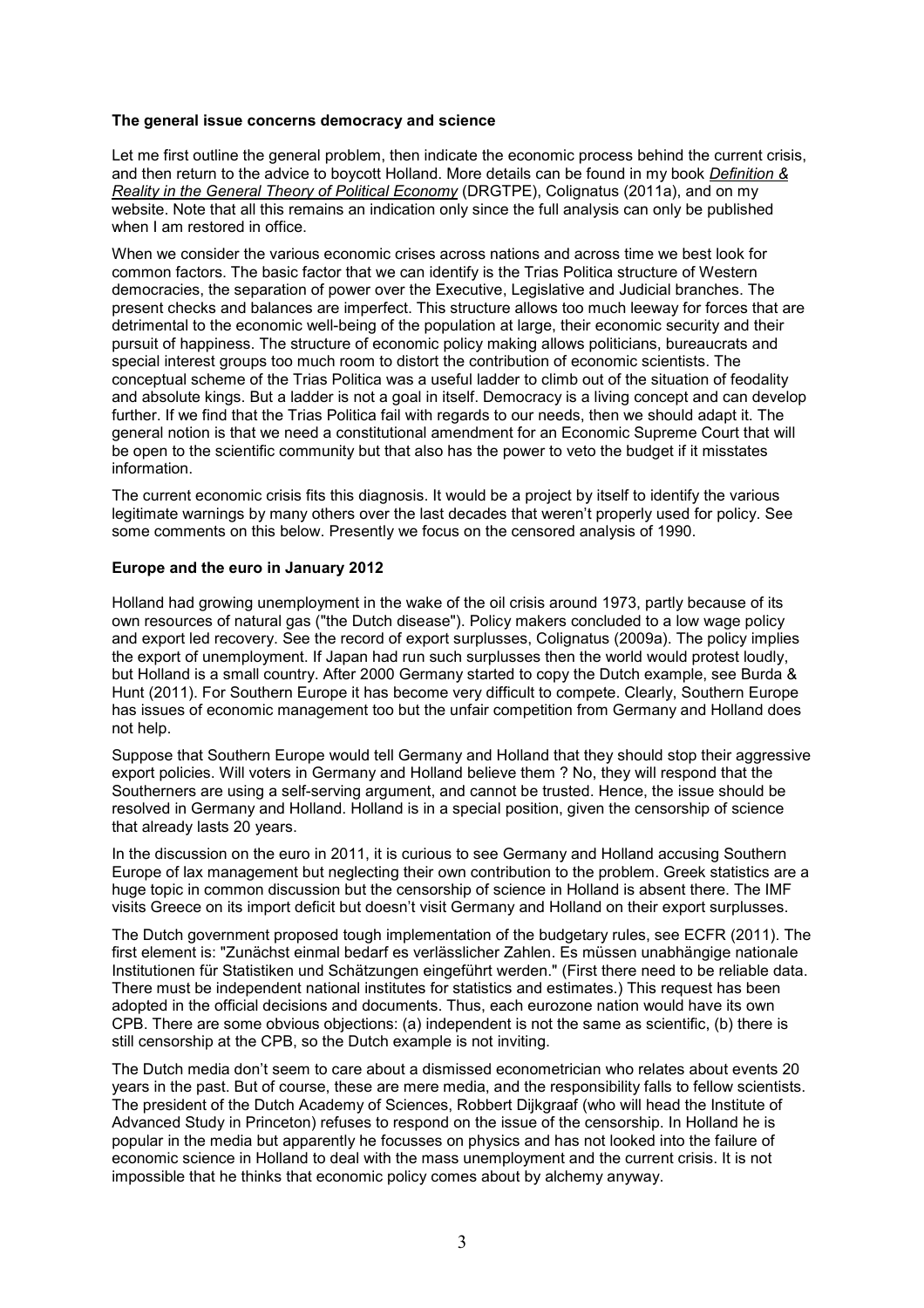### The general issue concerns democracy and science

Let me first outline the general problem, then indicate the economic process behind the current crisis, and then return to the advice to boycott Holland. More details can be found in my book Definition & Reality in the General Theory of Political Economy (DRGTPE), Colignatus (2011a), and on my website. Note that all this remains an indication only since the full analysis can only be published when I am restored in office.

When we consider the various economic crises across nations and across time we best look for common factors. The basic factor that we can identify is the Trias Politica structure of Western democracies, the separation of power over the Executive, Legislative and Judicial branches. The present checks and balances are imperfect. This structure allows too much leeway for forces that are detrimental to the economic well-being of the population at large, their economic security and their pursuit of happiness. The structure of economic policy making allows politicians, bureaucrats and special interest groups too much room to distort the contribution of economic scientists. The conceptual scheme of the Trias Politica was a useful ladder to climb out of the situation of feodality and absolute kings. But a ladder is not a goal in itself. Democracy is a living concept and can develop further. If we find that the Trias Politica fail with regards to our needs, then we should adapt it. The general notion is that we need a constitutional amendment for an Economic Supreme Court that will be open to the scientific community but that also has the power to veto the budget if it misstates information.

The current economic crisis fits this diagnosis. It would be a project by itself to identify the various legitimate warnings by many others over the last decades that weren't properly used for policy. See some comments on this below. Presently we focus on the censored analysis of 1990.

#### Europe and the euro in January 2012

Holland had growing unemployment in the wake of the oil crisis around 1973, partly because of its own resources of natural gas ("the Dutch disease"). Policy makers concluded to a low wage policy and export led recovery. See the record of export surplusses, Colignatus (2009a). The policy implies the export of unemployment. If Japan had run such surplusses then the world would protest loudly, but Holland is a small country. After 2000 Germany started to copy the Dutch example, see Burda & Hunt (2011). For Southern Europe it has become very difficult to compete. Clearly, Southern Europe has issues of economic management too but the unfair competition from Germany and Holland does not help.

Suppose that Southern Europe would tell Germany and Holland that they should stop their aggressive export policies. Will voters in Germany and Holland believe them ? No, they will respond that the Southerners are using a self-serving argument, and cannot be trusted. Hence, the issue should be resolved in Germany and Holland. Holland is in a special position, given the censorship of science that already lasts 20 years.

In the discussion on the euro in 2011, it is curious to see Germany and Holland accusing Southern Europe of lax management but neglecting their own contribution to the problem. Greek statistics are a huge topic in common discussion but the censorship of science in Holland is absent there. The IMF visits Greece on its import deficit but doesn't visit Germany and Holland on their export surplusses.

The Dutch government proposed tough implementation of the budgetary rules, see ECFR (2011). The first element is: "Zunächst einmal bedarf es verlässlicher Zahlen. Es müssen unabhängige nationale Institutionen für Statistiken und Schätzungen eingeführt werden." (First there need to be reliable data. There must be independent national institutes for statistics and estimates.) This request has been adopted in the official decisions and documents. Thus, each eurozone nation would have its own CPB. There are some obvious objections: (a) independent is not the same as scientific, (b) there is still censorship at the CPB, so the Dutch example is not inviting.

The Dutch media don't seem to care about a dismissed econometrician who relates about events 20 years in the past. But of course, these are mere media, and the responsibility falls to fellow scientists. The president of the Dutch Academy of Sciences, Robbert Dijkgraaf (who will head the Institute of Advanced Study in Princeton) refuses to respond on the issue of the censorship. In Holland he is popular in the media but apparently he focusses on physics and has not looked into the failure of economic science in Holland to deal with the mass unemployment and the current crisis. It is not impossible that he thinks that economic policy comes about by alchemy anyway.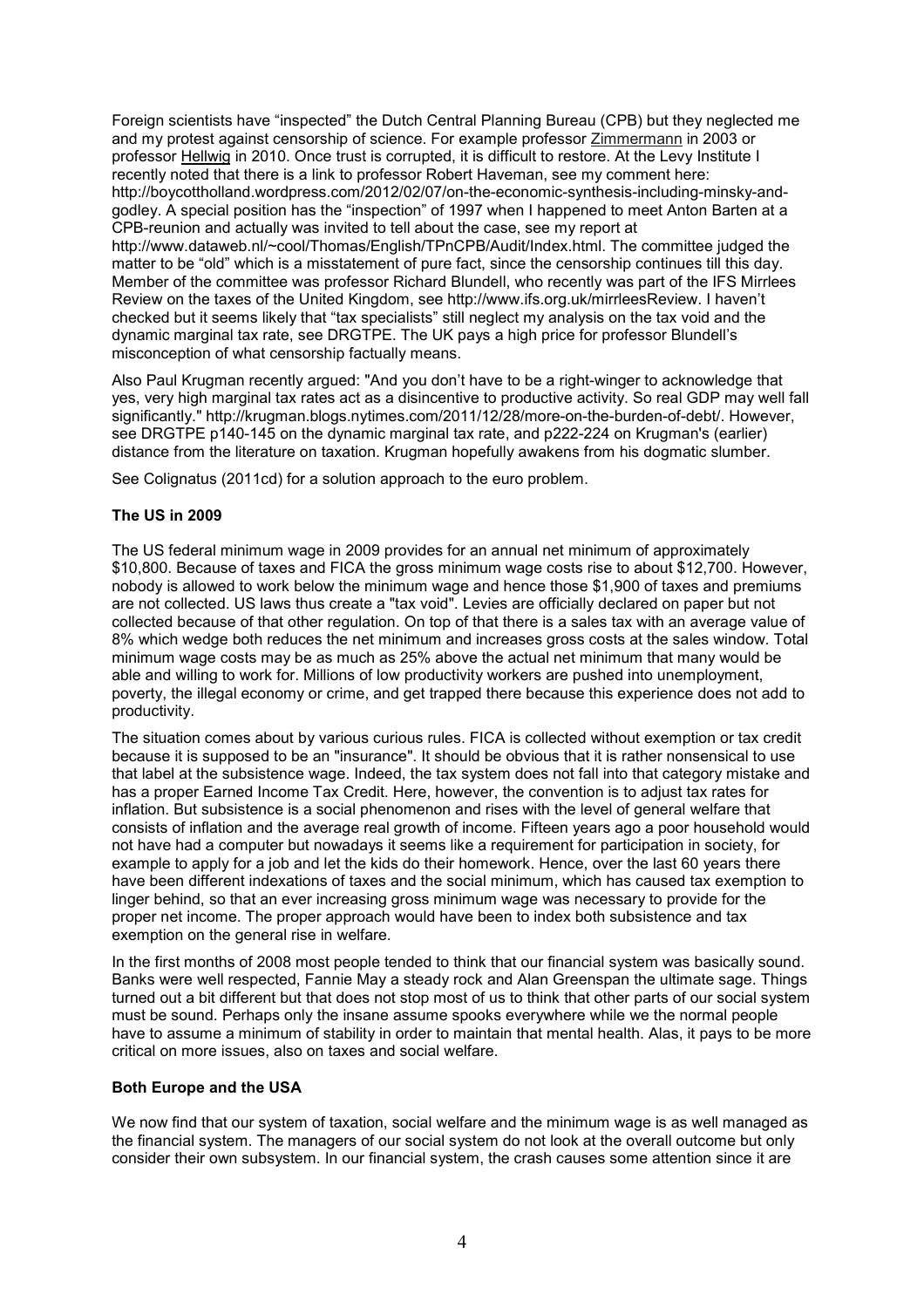Foreign scientists have "inspected" the Dutch Central Planning Bureau (CPB) but they neglected me and my protest against censorship of science. For example professor Zimmermann in 2003 or professor Hellwig in 2010. Once trust is corrupted, it is difficult to restore. At the Levy Institute I recently noted that there is a link to professor Robert Haveman, see my comment here: http://boycottholland.wordpress.com/2012/02/07/on-the-economic-synthesis-including-minsky-andgodley. A special position has the "inspection" of 1997 when I happened to meet Anton Barten at a CPB-reunion and actually was invited to tell about the case, see my report at http://www.dataweb.nl/~cool/Thomas/English/TPnCPB/Audit/Index.html. The committee judged the matter to be "old" which is a misstatement of pure fact, since the censorship continues till this day. Member of the committee was professor Richard Blundell, who recently was part of the IFS Mirrlees Review on the taxes of the United Kingdom, see http://www.ifs.org.uk/mirrleesReview. I haven't checked but it seems likely that "tax specialists" still neglect my analysis on the tax void and the dynamic marginal tax rate, see DRGTPE. The UK pays a high price for professor Blundell's misconception of what censorship factually means.

Also Paul Krugman recently argued: "And you don't have to be a right-winger to acknowledge that yes, very high marginal tax rates act as a disincentive to productive activity. So real GDP may well fall significantly." http://krugman.blogs.nytimes.com/2011/12/28/more-on-the-burden-of-debt/. However, see DRGTPE p140-145 on the dynamic marginal tax rate, and p222-224 on Krugman's (earlier) distance from the literature on taxation. Krugman hopefully awakens from his dogmatic slumber.

See Colignatus (2011cd) for a solution approach to the euro problem.

#### The US in 2009

The US federal minimum wage in 2009 provides for an annual net minimum of approximately \$10,800. Because of taxes and FICA the gross minimum wage costs rise to about \$12,700. However, nobody is allowed to work below the minimum wage and hence those \$1,900 of taxes and premiums are not collected. US laws thus create a "tax void". Levies are officially declared on paper but not collected because of that other regulation. On top of that there is a sales tax with an average value of 8% which wedge both reduces the net minimum and increases gross costs at the sales window. Total minimum wage costs may be as much as 25% above the actual net minimum that many would be able and willing to work for. Millions of low productivity workers are pushed into unemployment, poverty, the illegal economy or crime, and get trapped there because this experience does not add to productivity.

The situation comes about by various curious rules. FICA is collected without exemption or tax credit because it is supposed to be an "insurance". It should be obvious that it is rather nonsensical to use that label at the subsistence wage. Indeed, the tax system does not fall into that category mistake and has a proper Earned Income Tax Credit. Here, however, the convention is to adjust tax rates for inflation. But subsistence is a social phenomenon and rises with the level of general welfare that consists of inflation and the average real growth of income. Fifteen years ago a poor household would not have had a computer but nowadays it seems like a requirement for participation in society, for example to apply for a job and let the kids do their homework. Hence, over the last 60 years there have been different indexations of taxes and the social minimum, which has caused tax exemption to linger behind, so that an ever increasing gross minimum wage was necessary to provide for the proper net income. The proper approach would have been to index both subsistence and tax exemption on the general rise in welfare.

In the first months of 2008 most people tended to think that our financial system was basically sound. Banks were well respected, Fannie May a steady rock and Alan Greenspan the ultimate sage. Things turned out a bit different but that does not stop most of us to think that other parts of our social system must be sound. Perhaps only the insane assume spooks everywhere while we the normal people have to assume a minimum of stability in order to maintain that mental health. Alas, it pays to be more critical on more issues, also on taxes and social welfare.

#### Both Europe and the USA

We now find that our system of taxation, social welfare and the minimum wage is as well managed as the financial system. The managers of our social system do not look at the overall outcome but only consider their own subsystem. In our financial system, the crash causes some attention since it are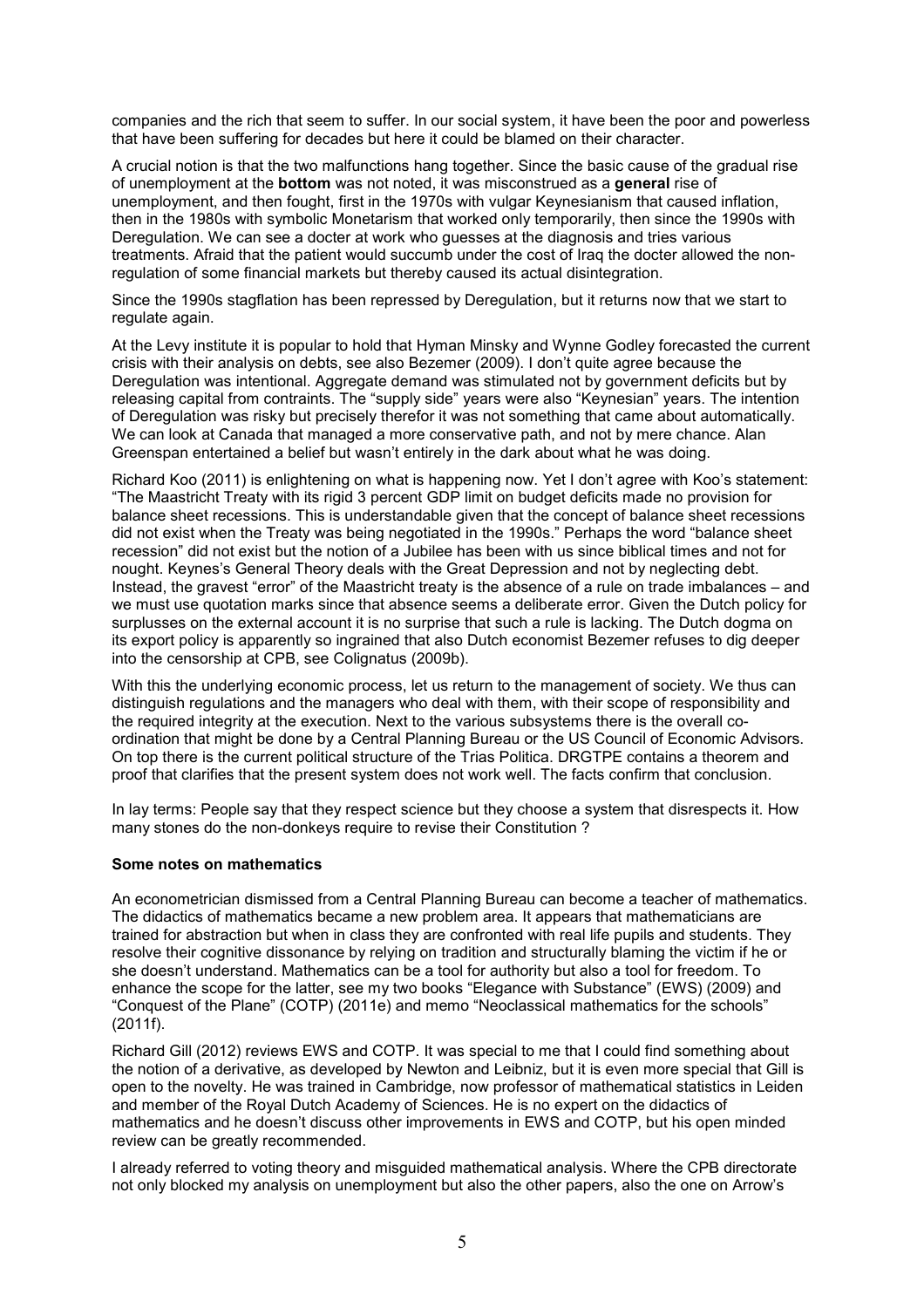companies and the rich that seem to suffer. In our social system, it have been the poor and powerless that have been suffering for decades but here it could be blamed on their character.

A crucial notion is that the two malfunctions hang together. Since the basic cause of the gradual rise of unemployment at the bottom was not noted, it was misconstrued as a general rise of unemployment, and then fought, first in the 1970s with vulgar Keynesianism that caused inflation, then in the 1980s with symbolic Monetarism that worked only temporarily, then since the 1990s with Deregulation. We can see a docter at work who guesses at the diagnosis and tries various treatments. Afraid that the patient would succumb under the cost of Iraq the docter allowed the nonregulation of some financial markets but thereby caused its actual disintegration.

Since the 1990s stagflation has been repressed by Deregulation, but it returns now that we start to regulate again.

At the Levy institute it is popular to hold that Hyman Minsky and Wynne Godley forecasted the current crisis with their analysis on debts, see also Bezemer (2009). I don't quite agree because the Deregulation was intentional. Aggregate demand was stimulated not by government deficits but by releasing capital from contraints. The "supply side" years were also "Keynesian" years. The intention of Deregulation was risky but precisely therefor it was not something that came about automatically. We can look at Canada that managed a more conservative path, and not by mere chance. Alan Greenspan entertained a belief but wasn't entirely in the dark about what he was doing.

Richard Koo (2011) is enlightening on what is happening now. Yet I don't agree with Koo's statement: "The Maastricht Treaty with its rigid 3 percent GDP limit on budget deficits made no provision for balance sheet recessions. This is understandable given that the concept of balance sheet recessions did not exist when the Treaty was being negotiated in the 1990s." Perhaps the word "balance sheet recession" did not exist but the notion of a Jubilee has been with us since biblical times and not for nought. Keynes's General Theory deals with the Great Depression and not by neglecting debt. Instead, the gravest "error" of the Maastricht treaty is the absence of a rule on trade imbalances – and we must use quotation marks since that absence seems a deliberate error. Given the Dutch policy for surplusses on the external account it is no surprise that such a rule is lacking. The Dutch dogma on its export policy is apparently so ingrained that also Dutch economist Bezemer refuses to dig deeper into the censorship at CPB, see Colignatus (2009b).

With this the underlying economic process, let us return to the management of society. We thus can distinguish regulations and the managers who deal with them, with their scope of responsibility and the required integrity at the execution. Next to the various subsystems there is the overall coordination that might be done by a Central Planning Bureau or the US Council of Economic Advisors. On top there is the current political structure of the Trias Politica. DRGTPE contains a theorem and proof that clarifies that the present system does not work well. The facts confirm that conclusion.

In lay terms: People say that they respect science but they choose a system that disrespects it. How many stones do the non-donkeys require to revise their Constitution ?

#### Some notes on mathematics

An econometrician dismissed from a Central Planning Bureau can become a teacher of mathematics. The didactics of mathematics became a new problem area. It appears that mathematicians are trained for abstraction but when in class they are confronted with real life pupils and students. They resolve their cognitive dissonance by relying on tradition and structurally blaming the victim if he or she doesn't understand. Mathematics can be a tool for authority but also a tool for freedom. To enhance the scope for the latter, see my two books "Elegance with Substance" (EWS) (2009) and "Conquest of the Plane" (COTP) (2011e) and memo "Neoclassical mathematics for the schools" (2011f).

Richard Gill (2012) reviews EWS and COTP. It was special to me that I could find something about the notion of a derivative, as developed by Newton and Leibniz, but it is even more special that Gill is open to the novelty. He was trained in Cambridge, now professor of mathematical statistics in Leiden and member of the Royal Dutch Academy of Sciences. He is no expert on the didactics of mathematics and he doesn't discuss other improvements in EWS and COTP, but his open minded review can be greatly recommended.

I already referred to voting theory and misguided mathematical analysis. Where the CPB directorate not only blocked my analysis on unemployment but also the other papers, also the one on Arrow's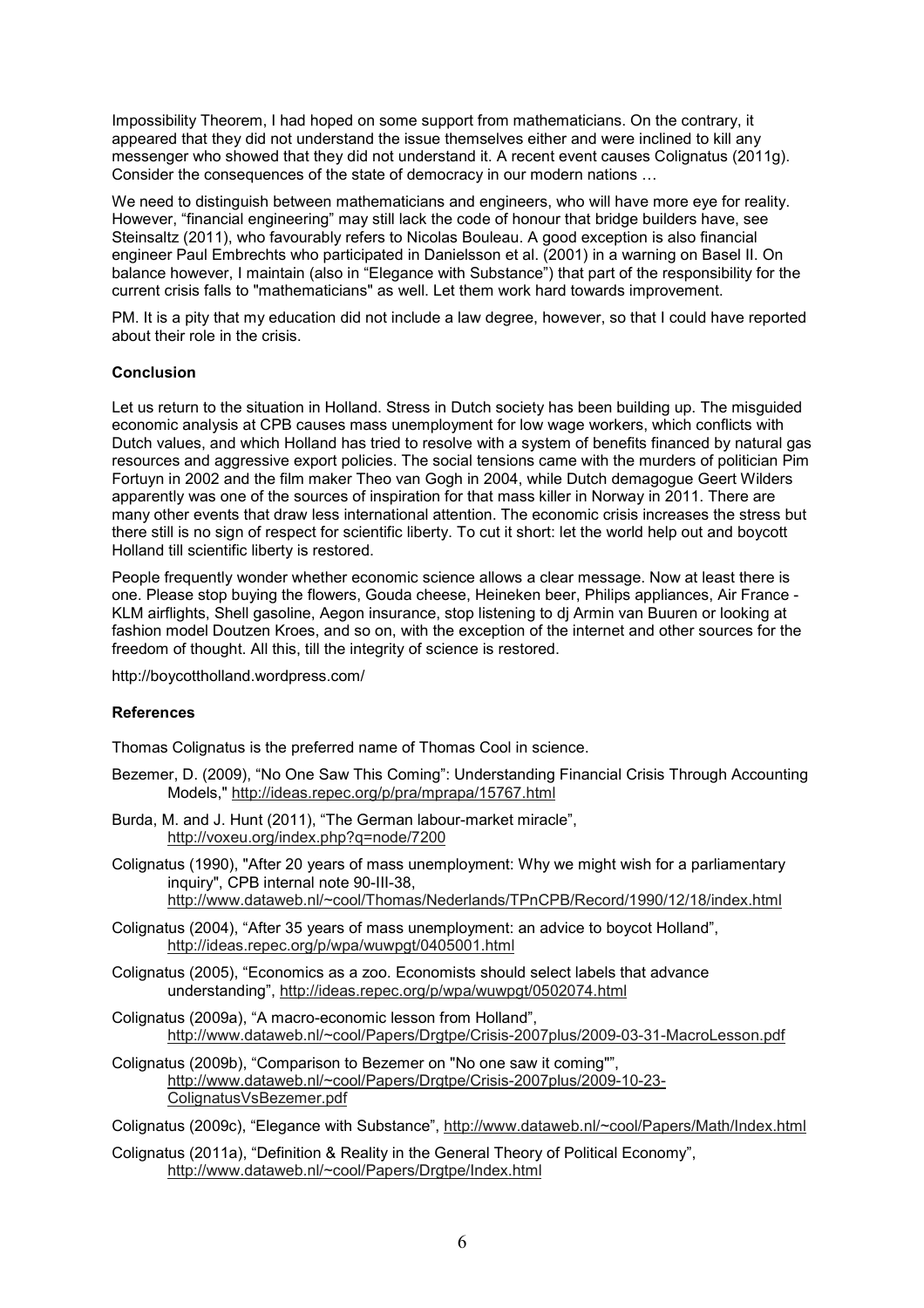Impossibility Theorem, I had hoped on some support from mathematicians. On the contrary, it appeared that they did not understand the issue themselves either and were inclined to kill any messenger who showed that they did not understand it. A recent event causes Colignatus (2011g). Consider the consequences of the state of democracy in our modern nations …

We need to distinguish between mathematicians and engineers, who will have more eye for reality. However, "financial engineering" may still lack the code of honour that bridge builders have, see Steinsaltz (2011), who favourably refers to Nicolas Bouleau. A good exception is also financial engineer Paul Embrechts who participated in Danielsson et al. (2001) in a warning on Basel II. On balance however, I maintain (also in "Elegance with Substance") that part of the responsibility for the current crisis falls to "mathematicians" as well. Let them work hard towards improvement.

PM. It is a pity that my education did not include a law degree, however, so that I could have reported about their role in the crisis.

### Conclusion

Let us return to the situation in Holland. Stress in Dutch society has been building up. The misguided economic analysis at CPB causes mass unemployment for low wage workers, which conflicts with Dutch values, and which Holland has tried to resolve with a system of benefits financed by natural gas resources and aggressive export policies. The social tensions came with the murders of politician Pim Fortuyn in 2002 and the film maker Theo van Gogh in 2004, while Dutch demagogue Geert Wilders apparently was one of the sources of inspiration for that mass killer in Norway in 2011. There are many other events that draw less international attention. The economic crisis increases the stress but there still is no sign of respect for scientific liberty. To cut it short: let the world help out and boycott Holland till scientific liberty is restored.

People frequently wonder whether economic science allows a clear message. Now at least there is one. Please stop buying the flowers, Gouda cheese, Heineken beer, Philips appliances, Air France - KLM airflights, Shell gasoline, Aegon insurance, stop listening to dj Armin van Buuren or looking at fashion model Doutzen Kroes, and so on, with the exception of the internet and other sources for the freedom of thought. All this, till the integrity of science is restored.

http://boycottholland.wordpress.com/

#### References

Thomas Colignatus is the preferred name of Thomas Cool in science.

- Bezemer, D. (2009), "No One Saw This Coming": Understanding Financial Crisis Through Accounting Models," http://ideas.repec.org/p/pra/mprapa/15767.html
- Burda, M. and J. Hunt (2011), "The German labour-market miracle", http://voxeu.org/index.php?q=node/7200
- Colignatus (1990), "After 20 years of mass unemployment: Why we might wish for a parliamentary inquiry", CPB internal note 90-III-38, http://www.dataweb.nl/~cool/Thomas/Nederlands/TPnCPB/Record/1990/12/18/index.html
- Colignatus (2004), "After 35 years of mass unemployment: an advice to boycot Holland", http://ideas.repec.org/p/wpa/wuwpgt/0405001.html
- Colignatus (2005), "Economics as a zoo. Economists should select labels that advance understanding", http://ideas.repec.org/p/wpa/wuwpgt/0502074.html
- Colignatus (2009a), "A macro-economic lesson from Holland", http://www.dataweb.nl/~cool/Papers/Drgtpe/Crisis-2007plus/2009-03-31-MacroLesson.pdf

Colignatus (2009b), "Comparison to Bezemer on "No one saw it coming"", http://www.dataweb.nl/~cool/Papers/Drgtpe/Crisis-2007plus/2009-10-23-ColignatusVsBezemer.pdf

Colignatus (2009c), "Elegance with Substance", http://www.dataweb.nl/~cool/Papers/Math/Index.html

Colignatus (2011a), "Definition & Reality in the General Theory of Political Economy", http://www.dataweb.nl/~cool/Papers/Drgtpe/Index.html